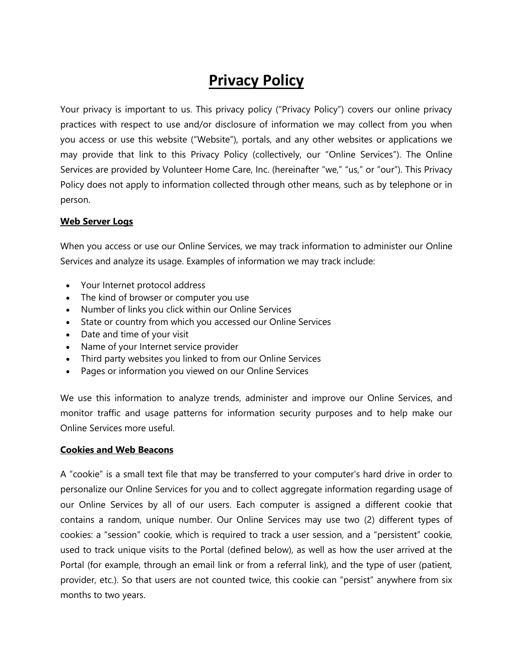# **Privacy Policy**

Your privacy is important to us. This privacy policy ("Privacy Policy") covers our online privacy practices with respect to use and/or disclosure of information we may collect from you when you access or use this website ("Website"), portals, and any other websites or applications we may provide that link to this Privacy Policy (collectively, our "Online Services"). The Online Services are provided by Volunteer Home Care, Inc. (hereinafter "we," "us," or "our"). This Privacy Policy does not apply to information collected through other means, such as by telephone or in person.

## **Web Server Logs**

When you access or use our Online Services, we may track information to administer our Online Services and analyze its usage. Examples of information we may track include:

- Your Internet protocol address
- The kind of browser or computer you use
- Number of links you click within our Online Services
- State or country from which you accessed our Online Services
- Date and time of your visit
- Name of your Internet service provider
- Third party websites you linked to from our Online Services
- Pages or information you viewed on our Online Services

We use this information to analyze trends, administer and improve our Online Services, and monitor traffic and usage patterns for information security purposes and to help make our Online Services more useful.

#### **Cookies and Web Beacons**

A "cookie" is a small text file that may be transferred to your computer's hard drive in order to personalize our Online Services for you and to collect aggregate information regarding usage of our Online Services by all of our users. Each computer is assigned a different cookie that contains a random, unique number. Our Online Services may use two (2) different types of cookies: a "session" cookie, which is required to track a user session, and a "persistent" cookie, used to track unique visits to the Portal (defined below), as well as how the user arrived at the Portal (for example, through an email link or from a referral link), and the type of user (patient, provider, etc.). So that users are not counted twice, this cookie can "persist" anywhere from six months to two years.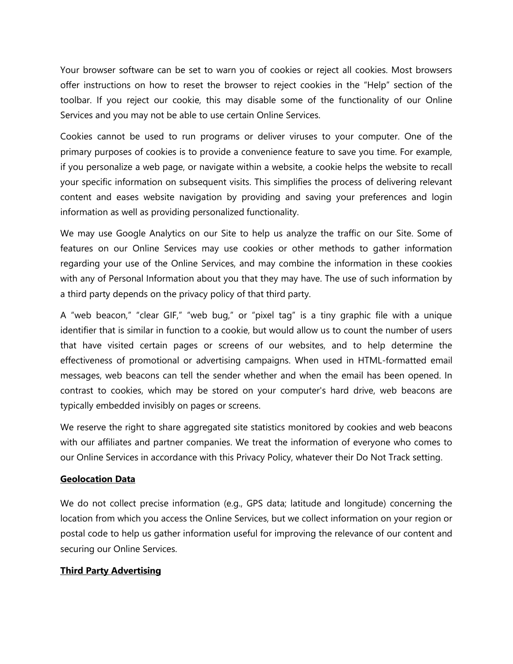Your browser software can be set to warn you of cookies or reject all cookies. Most browsers offer instructions on how to reset the browser to reject cookies in the "Help" section of the toolbar. If you reject our cookie, this may disable some of the functionality of our Online Services and you may not be able to use certain Online Services.

Cookies cannot be used to run programs or deliver viruses to your computer. One of the primary purposes of cookies is to provide a convenience feature to save you time. For example, if you personalize a web page, or navigate within a website, a cookie helps the website to recall your specific information on subsequent visits. This simplifies the process of delivering relevant content and eases website navigation by providing and saving your preferences and login information as well as providing personalized functionality.

We may use Google Analytics on our Site to help us analyze the traffic on our Site. Some of features on our Online Services may use cookies or other methods to gather information regarding your use of the Online Services, and may combine the information in these cookies with any of Personal Information about you that they may have. The use of such information by a third party depends on the privacy policy of that third party.

A "web beacon," "clear GIF," "web bug," or "pixel tag" is a tiny graphic file with a unique identifier that is similar in function to a cookie, but would allow us to count the number of users that have visited certain pages or screens of our websites, and to help determine the effectiveness of promotional or advertising campaigns. When used in HTML-formatted email messages, web beacons can tell the sender whether and when the email has been opened. In contrast to cookies, which may be stored on your computer's hard drive, web beacons are typically embedded invisibly on pages or screens.

We reserve the right to share aggregated site statistics monitored by cookies and web beacons with our affiliates and partner companies. We treat the information of everyone who comes to our Online Services in accordance with this Privacy Policy, whatever their Do Not Track setting.

#### **Geolocation Data**

We do not collect precise information (e.g., GPS data; latitude and longitude) concerning the location from which you access the Online Services, but we collect information on your region or postal code to help us gather information useful for improving the relevance of our content and securing our Online Services.

#### **Third Party Advertising**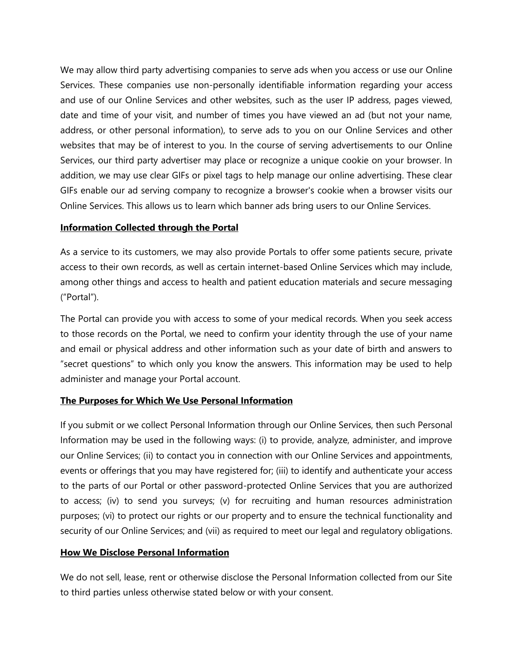We may allow third party advertising companies to serve ads when you access or use our Online Services. These companies use non-personally identifiable information regarding your access and use of our Online Services and other websites, such as the user IP address, pages viewed, date and time of your visit, and number of times you have viewed an ad (but not your name, address, or other personal information), to serve ads to you on our Online Services and other websites that may be of interest to you. In the course of serving advertisements to our Online Services, our third party advertiser may place or recognize a unique cookie on your browser. In addition, we may use clear GIFs or pixel tags to help manage our online advertising. These clear GIFs enable our ad serving company to recognize a browser's cookie when a browser visits our Online Services. This allows us to learn which banner ads bring users to our Online Services.

#### **Information Collected through the Portal**

As a service to its customers, we may also provide Portals to offer some patients secure, private access to their own records, as well as certain internet-based Online Services which may include, among other things and access to health and patient education materials and secure messaging ("Portal").

The Portal can provide you with access to some of your medical records. When you seek access to those records on the Portal, we need to confirm your identity through the use of your name and email or physical address and other information such as your date of birth and answers to "secret questions" to which only you know the answers. This information may be used to help administer and manage your Portal account.

## **The Purposes for Which We Use Personal Information**

If you submit or we collect Personal Information through our Online Services, then such Personal Information may be used in the following ways: (i) to provide, analyze, administer, and improve our Online Services; (ii) to contact you in connection with our Online Services and appointments, events or offerings that you may have registered for; (iii) to identify and authenticate your access to the parts of our Portal or other password-protected Online Services that you are authorized to access; (iv) to send you surveys; (v) for recruiting and human resources administration purposes; (vi) to protect our rights or our property and to ensure the technical functionality and security of our Online Services; and (vii) as required to meet our legal and regulatory obligations.

## **How We Disclose Personal Information**

We do not sell, lease, rent or otherwise disclose the Personal Information collected from our Site to third parties unless otherwise stated below or with your consent.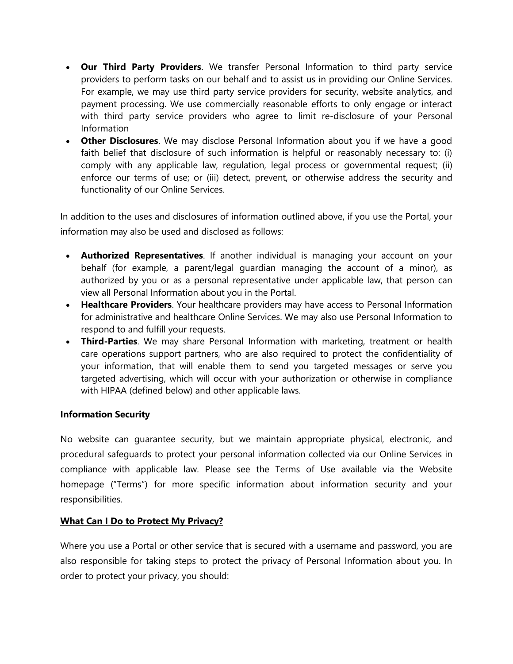- **Our Third Party Providers**. We transfer Personal Information to third party service providers to perform tasks on our behalf and to assist us in providing our Online Services. For example, we may use third party service providers for security, website analytics, and payment processing. We use commercially reasonable efforts to only engage or interact with third party service providers who agree to limit re-disclosure of your Personal Information
- **Other Disclosures**. We may disclose Personal Information about you if we have a good faith belief that disclosure of such information is helpful or reasonably necessary to: (i) comply with any applicable law, regulation, legal process or governmental request; (ii) enforce our terms of use; or (iii) detect, prevent, or otherwise address the security and functionality of our Online Services.

In addition to the uses and disclosures of information outlined above, if you use the Portal, your information may also be used and disclosed as follows:

- **Authorized Representatives**. If another individual is managing your account on your behalf (for example, a parent/legal guardian managing the account of a minor), as authorized by you or as a personal representative under applicable law, that person can view all Personal Information about you in the Portal.
- **Healthcare Providers**. Your healthcare providers may have access to Personal Information for administrative and healthcare Online Services. We may also use Personal Information to respond to and fulfill your requests.
- **Third-Parties**. We may share Personal Information with marketing, treatment or health care operations support partners, who are also required to protect the confidentiality of your information, that will enable them to send you targeted messages or serve you targeted advertising, which will occur with your authorization or otherwise in compliance with HIPAA (defined below) and other applicable laws.

## **Information Security**

No website can guarantee security, but we maintain appropriate physical, electronic, and procedural safeguards to protect your personal information collected via our Online Services in compliance with applicable law. Please see the Terms of Use available via the Website homepage ("Terms") for more specific information about information security and your responsibilities.

## **What Can I Do to Protect My Privacy?**

Where you use a Portal or other service that is secured with a username and password, you are also responsible for taking steps to protect the privacy of Personal Information about you. In order to protect your privacy, you should: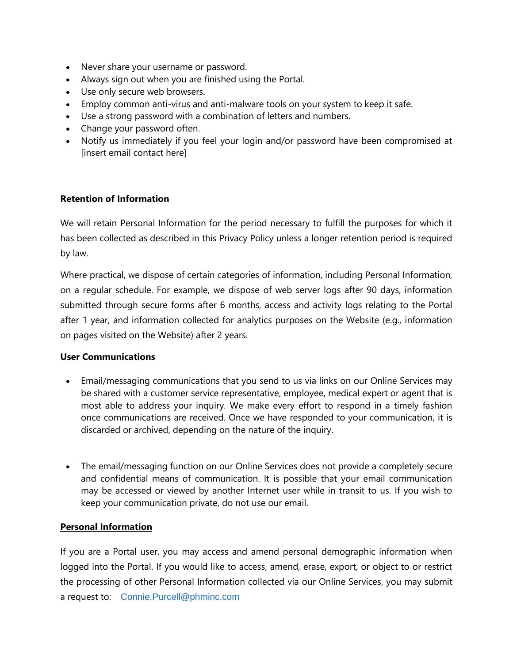- Never share your username or password.
- Always sign out when you are finished using the Portal.
- Use only secure web browsers.
- Employ common anti-virus and anti-malware tools on your system to keep it safe.
- Use a strong password with a combination of letters and numbers.
- Change your password often.
- Notify us immediately if you feel your login and/or password have been compromised at [insert email contact here]

## **Retention of Information**

We will retain Personal Information for the period necessary to fulfill the purposes for which it has been collected as described in this Privacy Policy unless a longer retention period is required by law.

Where practical, we dispose of certain categories of information, including Personal Information, on a regular schedule. For example, we dispose of web server logs after 90 days, information submitted through secure forms after 6 months, access and activity logs relating to the Portal after 1 year, and information collected for analytics purposes on the Website (e.g., information on pages visited on the Website) after 2 years.

## **User Communications**

- Email/messaging communications that you send to us via links on our Online Services may be shared with a customer service representative, employee, medical expert or agent that is most able to address your inquiry. We make every effort to respond in a timely fashion once communications are received. Once we have responded to your communication, it is discarded or archived, depending on the nature of the inquiry.
- The email/messaging function on our Online Services does not provide a completely secure and confidential means of communication. It is possible that your email communication may be accessed or viewed by another Internet user while in transit to us. If you wish to keep your communication private, do not use our email.

## **Personal Information**

If you are a Portal user, you may access and amend personal demographic information when logged into the Portal. If you would like to access, amend, erase, export, or object to or restrict the processing of other Personal Information collected via our Online Services, you may submit a request to: [Connie.Purcell@phminc.com](mailto:Connie.Purcell@phminc.com)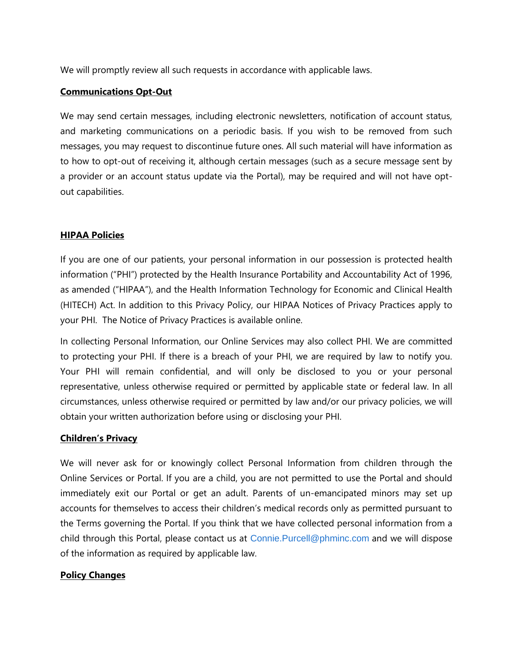We will promptly review all such requests in accordance with applicable laws.

## **Communications Opt-Out**

We may send certain messages, including electronic newsletters, notification of account status, and marketing communications on a periodic basis. If you wish to be removed from such messages, you may request to discontinue future ones. All such material will have information as to how to opt-out of receiving it, although certain messages (such as a secure message sent by a provider or an account status update via the Portal), may be required and will not have optout capabilities.

## **HIPAA Policies**

If you are one of our patients, your personal information in our possession is protected health information ("PHI") protected by the Health Insurance Portability and Accountability Act of 1996, as amended ("HIPAA"), and the Health Information Technology for Economic and Clinical Health (HITECH) Act. In addition to this Privacy Policy, our HIPAA Notices of Privacy Practices apply to your PHI. The Notice of Privacy Practices is available online.

In collecting Personal Information, our Online Services may also collect PHI. We are committed to protecting your PHI. If there is a breach of your PHI, we are required by law to notify you. Your PHI will remain confidential, and will only be disclosed to you or your personal representative, unless otherwise required or permitted by applicable state or federal law. In all circumstances, unless otherwise required or permitted by law and/or our privacy policies, we will obtain your written authorization before using or disclosing your PHI.

## **Children's Privacy**

We will never ask for or knowingly collect Personal Information from children through the Online Services or Portal. If you are a child, you are not permitted to use the Portal and should immediately exit our Portal or get an adult. Parents of un-emancipated minors may set up accounts for themselves to access their children's medical records only as permitted pursuant to the Terms governing the Portal. If you think that we have collected personal information from a child through this Portal, please contact us at [Connie.Purcell@phminc.com](mailto:Connie.Purcell@phminc.com) and we will dispose of the information as required by applicable law.

#### **Policy Changes**